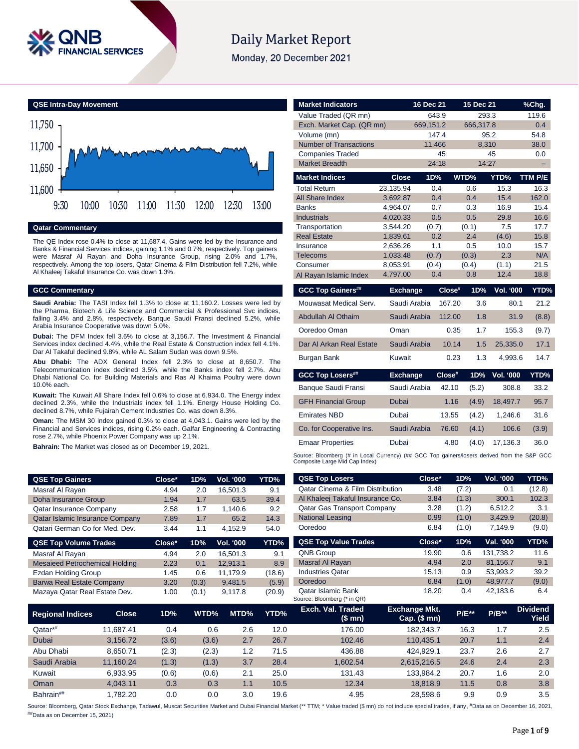

# **Daily Market Report**

Monday, 20 December 2021



### **Qatar Commentary**

The QE Index rose 0.4% to close at 11,687.4. Gains were led by the Insurance and Banks & Financial Services indices, gaining 1.1% and 0.7%, respectively. Top gainers were Masraf Al Rayan and Doha Insurance Group, rising 2.0% and 1.7%, respectively. Among the top losers, Qatar Cinema & Film Distribution fell 7.2%, while Al Khaleej Takaful Insurance Co. was down 1.3%.

#### **GCC Commentary**

**Saudi Arabia:** The TASI Index fell 1.3% to close at 11,160.2. Losses were led by the Pharma, Biotech & Life Science and Commercial & Professional Svc indices, falling 3.4% and 2.8%, respectively. Banque Saudi Fransi declined 5.2%, while Arabia Insurance Cooperative was down 5.0%.

**Dubai:** The DFM Index fell 3.6% to close at 3,156.7. The Investment & Financial Services index declined 4.4%, while the Real Estate & Construction index fell 4.1%. Dar Al Takaful declined 9.8%, while AL Salam Sudan was down 9.5%.

**Abu Dhabi:** The ADX General Index fell 2.3% to close at 8,650.7. The Telecommunication index declined 3.5%, while the Banks index fell 2.7%. Abu Dhabi National Co. for Building Materials and Ras Al Khaima Poultry were down 10.0% each.

**Kuwait:** The Kuwait All Share Index fell 0.6% to close at 6,934.0. The Energy index declined 2.3%, while the Industrials index fell 1.1%. Energy House Holding Co. declined 8.7%, while Fujairah Cement Industries Co. was down 8.3%.

**Oman:** The MSM 30 Index gained 0.3% to close at 4,043.1. Gains were led by the Financial and Services indices, rising 0.2% each. Galfar Engineering & Contracting rose 2.7%, while Phoenix Power Company was up 2.1%.

**Bahrain:** The Market was closed as on December 19, 2021.

| Exch. Market Cap. (QR mn)                                                                   |                 | 669,151.2 |        | 666,317.8 |                  | 0.4     |
|---------------------------------------------------------------------------------------------|-----------------|-----------|--------|-----------|------------------|---------|
| Volume (mn)                                                                                 |                 | 147.4     |        |           | 95.2             | 54.8    |
| <b>Number of Transactions</b>                                                               |                 | 11,466    |        | 8,310     |                  | 38.0    |
| <b>Companies Traded</b>                                                                     |                 | 45        |        |           | 45               | 0.0     |
| <b>Market Breadth</b>                                                                       |                 | 24:18     |        | 14:27     |                  |         |
| <b>Market Indices</b>                                                                       | <b>Close</b>    | 1D%       |        | WTD%      | YTD%             | TTM P/E |
| <b>Total Return</b>                                                                         | 23,135.94       | 0.4       |        | 0.6       | 15.3             | 16.3    |
| <b>All Share Index</b>                                                                      | 3,692.87        | 0.4       |        | 0.4       | 15.4             | 162.0   |
| <b>Banks</b>                                                                                | 4,964.07        | 0.7       |        | 0.3       | 16.9             | 15.4    |
| <b>Industrials</b>                                                                          | 4,020.33        | 0.5       |        | 0.5       | 29.8             | 16.6    |
| Transportation                                                                              | 3,544.20        | (0.7)     |        | (0.1)     | 7.5              | 17.7    |
| <b>Real Estate</b>                                                                          | 1,839.61        | 0.2       |        | 2.4       | (4.6)            | 15.8    |
| Insurance                                                                                   | 2.636.26        | 1.1       |        | 0.5       | 10.0             | 15.7    |
| <b>Telecoms</b>                                                                             | 1,033.48        | (0.7)     |        | (0.3)     | 2.3              | N/A     |
| Consumer                                                                                    | 8,053.91        | (0.4)     |        | (0.4)     | (1.1)            | 21.5    |
| Al Rayan Islamic Index                                                                      | 4,797.00        | 0.4       |        | 0.8       | 12.4             | 18.8    |
| <b>GCC Top Gainers##</b>                                                                    | <b>Exchange</b> |           | Close# | 1D%       | <b>Vol. '000</b> | YTD%    |
| Mouwasat Medical Serv.                                                                      | Saudi Arabia    |           | 167.20 | 3.6       | 80.1             | 21.2    |
| Abdullah Al Othaim                                                                          | Saudi Arabia    |           | 112.00 | 1.8       | 31.9             | (8.8)   |
| Ooredoo Oman                                                                                | Oman            |           | 0.35   | 1.7       | 155.3            | (9.7)   |
| Dar Al Arkan Real Estate                                                                    | Saudi Arabia    |           | 10.14  | 1.5       | 25,335.0         | 17.1    |
| Burgan Bank                                                                                 | Kuwait          |           | 0.23   | 1.3       | 4,993.6          | 14.7    |
| <b>GCC Top Losers##</b>                                                                     | <b>Exchange</b> |           | Close# | 1D%       | <b>Vol. '000</b> | YTD%    |
| Banque Saudi Fransi                                                                         | Saudi Arabia    |           | 42.10  | (5.2)     | 308.8            | 33.2    |
| <b>GFH Financial Group</b>                                                                  | <b>Dubai</b>    |           | 1.16   | (4.9)     | 18,497.7         | 95.7    |
| <b>Emirates NBD</b>                                                                         | Dubai           |           | 13.55  | (4.2)     | 1,246.6          | 31.6    |
| Co. for Cooperative Ins.                                                                    | Saudi Arabia    |           | 76.60  | (4.1)     | 106.6            | (3.9)   |
| <b>Emaar Properties</b>                                                                     | Dubai           |           | 4.80   | (4.0)     | 17,136.3         | 36.0    |
| Source: Bloomberg (# in Local Currency) (## GCC Top gainers/losers derived from the S&P GCC |                 |           |        |           |                  |         |

**Market Indicators 16 Dec 21 15 Dec 21 %Chg.** Value Traded (QR mn) 643.9 293.3 119.6

Source: Bloomberg (# in Local Currency) (## GCC Top gainers/losers derived from the S&P GCC Composite Large Mid Cap Index) **QSE Top Losers Close\* 1D% Vol. '000 YTD%**

| <b>QSE Top Gainers</b>                |              | Close* | 1D%   | Vol. '000        | YTD%   | <b>QSE Top Losers</b>                                                                                                                                                                                    | Close*                                 | 1D%      | Vol. '000 | YTD%                     |
|---------------------------------------|--------------|--------|-------|------------------|--------|----------------------------------------------------------------------------------------------------------------------------------------------------------------------------------------------------------|----------------------------------------|----------|-----------|--------------------------|
| Masraf Al Rayan                       |              | 4.94   | 2.0   | 16,501.3         | 9.1    | Qatar Cinema & Film Distribution                                                                                                                                                                         | 3.48                                   | (7.2)    | 0.1       | (12.8)                   |
| Doha Insurance Group                  |              | 1.94   | 1.7   | 63.5             | 39.4   | Al Khaleej Takaful Insurance Co.                                                                                                                                                                         | 3.84                                   | (1.3)    | 300.1     | 102.3                    |
| <b>Qatar Insurance Company</b>        |              | 2.58   | 1.7   | 1,140.6          | 9.2    | <b>Qatar Gas Transport Company</b>                                                                                                                                                                       | 3.28                                   | (1.2)    | 6,512.2   | 3.1                      |
| Qatar Islamic Insurance Company       |              | 7.89   | 1.7   | 65.2             | 14.3   | <b>National Leasing</b>                                                                                                                                                                                  | 0.99                                   | (1.0)    | 3,429.9   | (20.8)                   |
| Qatari German Co for Med. Dev.        |              | 3.44   | 1.1   | 4,152.9          | 54.0   | Ooredoo                                                                                                                                                                                                  | 6.84                                   | (1.0)    | 7,149.9   | (9.0)                    |
| <b>QSE Top Volume Trades</b>          |              | Close* | 1D%   | <b>Vol. '000</b> | YTD%   | <b>QSE Top Value Trades</b>                                                                                                                                                                              | Close*                                 | 1D%      | Val. '000 | <b>YTD%</b>              |
| Masraf Al Rayan                       |              | 4.94   | 2.0   | 16,501.3         | 9.1    | QNB Group                                                                                                                                                                                                | 19.90                                  | 0.6      | 131,738.2 | 11.6                     |
| <b>Mesaieed Petrochemical Holding</b> |              | 2.23   | 0.1   | 12,913.1         | 8.9    | Masraf Al Rayan                                                                                                                                                                                          | 4.94                                   | 2.0      | 81,156.7  | 9.1                      |
| Ezdan Holding Group                   |              | 1.45   | 0.6   | 11,179.9         | (18.6) | <b>Industries Qatar</b>                                                                                                                                                                                  | 15.13                                  | 0.9      | 53,993.2  | 39.2                     |
| <b>Barwa Real Estate Company</b>      |              | 3.20   | (0.3) | 9,481.5          | (5.9)  | Ooredoo                                                                                                                                                                                                  | 6.84                                   | (1.0)    | 48,977.7  | (9.0)                    |
| Mazaya Qatar Real Estate Dev.         |              | 1.00   | (0.1) | 9,117.8          | (20.9) | <b>Qatar Islamic Bank</b><br>Source: Bloomberg (* in QR)                                                                                                                                                 | 18.20                                  | 0.4      | 42,183.6  | 6.4                      |
| <b>Regional Indices</b>               | <b>Close</b> | 1D%    | WTD%  | MTD%             | YTD%   | Exch. Val. Traded<br>(\$ mn)                                                                                                                                                                             | <b>Exchange Mkt.</b><br>$Cap.$ (\$ mn) | $P/E***$ | $P/B**$   | <b>Dividend</b><br>Yield |
| Qatar*#                               | 11,687.41    | 0.4    |       | 2.6<br>0.6       | 12.0   | 176.00                                                                                                                                                                                                   | 182,343.7                              | 16.3     | 1.7       | 2.5                      |
| Dubai                                 | 3,156.72     | (3.6)  | (3.6) | 2.7              | 26.7   | 102.46                                                                                                                                                                                                   | 110,435.1                              | 20.7     | 1.1       | 2.4                      |
| Abu Dhabi                             | 8,650.71     | (2.3)  | (2.3) | 1.2              | 71.5   | 436.88                                                                                                                                                                                                   | 424,929.1                              | 23.7     | 2.6       | 2.7                      |
| Saudi Arabia                          | 11,160.24    | (1.3)  | (1.3) | 3.7              | 28.4   | 1,602.54                                                                                                                                                                                                 | 2,615,216.5                            | 24.6     | 2.4       | 2.3                      |
| Kuwait                                | 6,933.95     | (0.6)  | (0.6) | 2.1              | 25.0   | 131.43                                                                                                                                                                                                   | 133,984.2                              | 20.7     | 1.6       | 2.0                      |
| Oman                                  | 4,043.11     | 0.3    |       | 0.3<br>1.1       | 10.5   | 12.34                                                                                                                                                                                                    | 18,818.9                               | 11.5     | 0.8       | 3.8                      |
| Bahrain##                             | 1,782.20     | 0.0    |       | 0.0<br>3.0       | 19.6   | 4.95                                                                                                                                                                                                     | 28,598.6                               | 9.9      | 0.9       | 3.5                      |
|                                       |              |        |       |                  |        | ource: Bloomberg, Oatar Stock Exchange, Tadawul, Muscat Securities Market and Dubai Einancial Market (** TTM; * Value traded (\$ mn) do not include special trades, if any #Data as on December 16, 2021 |                                        |          |           |                          |

Source: Bloomberg, #Data as on December 16, 2021, ##Data as on December 15, 2021)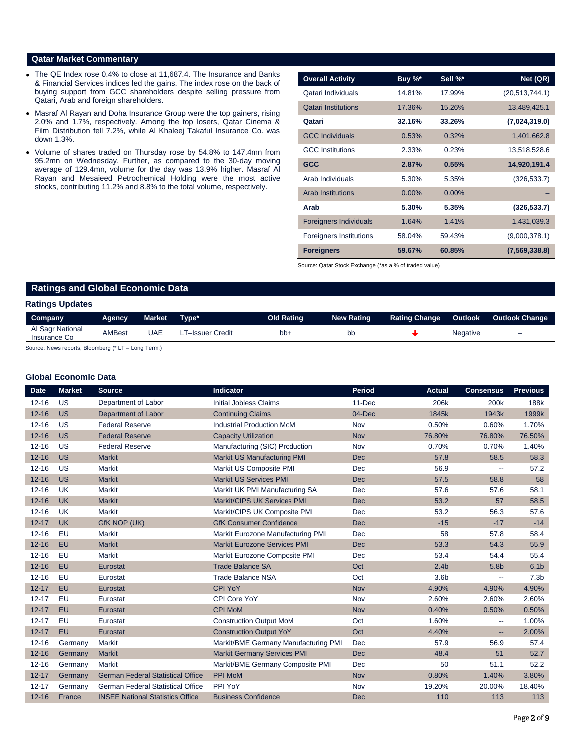# **Qatar Market Commentary**

- The QE Index rose 0.4% to close at 11,687.4. The Insurance and Banks & Financial Services indices led the gains. The index rose on the back of buying support from GCC shareholders despite selling pressure from Qatari, Arab and foreign shareholders.
- Masraf Al Rayan and Doha Insurance Group were the top gainers, rising 2.0% and 1.7%, respectively. Among the top losers, Qatar Cinema & Film Distribution fell 7.2%, while Al Khaleej Takaful Insurance Co. was down 1.3%.
- Volume of shares traded on Thursday rose by 54.8% to 147.4mn from 95.2mn on Wednesday. Further, as compared to the 30-day moving average of 129.4mn, volume for the day was 13.9% higher. Masraf Al Rayan and Mesaieed Petrochemical Holding were the most active stocks, contributing 11.2% and 8.8% to the total volume, respectively.

| <b>Overall Activity</b>        | Buy $\%^*$ | Sell %*  | Net (QR)       |
|--------------------------------|------------|----------|----------------|
| Qatari Individuals             | 14.81%     | 17.99%   | (20,513,744.1) |
| <b>Qatari Institutions</b>     | 17.36%     | 15.26%   | 13,489,425.1   |
| Qatari                         | 32.16%     | 33.26%   | (7,024,319.0)  |
| <b>GCC Individuals</b>         | 0.53%      | 0.32%    | 1,401,662.8    |
| <b>GCC</b> Institutions        | 2.33%      | 0.23%    | 13,518,528.6   |
| <b>GCC</b>                     | 2.87%      | 0.55%    | 14,920,191.4   |
| Arab Individuals               | 5.30%      | 5.35%    | (326, 533.7)   |
| <b>Arab Institutions</b>       | $0.00\%$   | $0.00\%$ |                |
| Arab                           | 5.30%      | 5.35%    | (326, 533.7)   |
| <b>Foreigners Individuals</b>  | 1.64%      | 1.41%    | 1,431,039.3    |
| <b>Foreigners Institutions</b> | 58.04%     | 59.43%   | (9,000,378.1)  |
| <b>Foreigners</b>              | 59.67%     | 60.85%   | (7,569,338.8)  |

Source: Qatar Stock Exchange (\*as a % of traded value)

# **Ratings and Global Economic Data**

# **Ratings Updates**

| Company                          | Agency        | Market | Tvpe*           | Old Rating | <b>New Rating</b> | <b>Rating Change</b> | Outlook         | <b>Outlook Change</b>    |
|----------------------------------|---------------|--------|-----------------|------------|-------------------|----------------------|-----------------|--------------------------|
| Al Sagr National<br>Insurance Co | <b>AMBest</b> | UAE    | T–Issuer Credit | bb-        | bb                |                      | <b>Negative</b> | $\overline{\phantom{0}}$ |

Source: News reports, Bloomberg (\* LT – Long Term,)

### **Global Economic Data**

| <b>Date</b> | <b>Market</b> | <b>Source</b>                            | Indicator                            | <b>Period</b> | <b>Actual</b>    | <b>Consensus</b>         | <b>Previous</b>  |
|-------------|---------------|------------------------------------------|--------------------------------------|---------------|------------------|--------------------------|------------------|
| $12 - 16$   | <b>US</b>     | Department of Labor                      | <b>Initial Jobless Claims</b>        | 11-Dec        | 206k             | 200k                     | 188k             |
| $12 - 16$   | <b>US</b>     | <b>Department of Labor</b>               | <b>Continuing Claims</b>             | 04-Dec        | 1845k            | 1943k                    | 1999k            |
| $12 - 16$   | <b>US</b>     | <b>Federal Reserve</b>                   | <b>Industrial Production MoM</b>     | Nov           | 0.50%            | 0.60%                    | 1.70%            |
| $12 - 16$   | <b>US</b>     | <b>Federal Reserve</b>                   | <b>Capacity Utilization</b>          | <b>Nov</b>    | 76.80%           | 76.80%                   | 76.50%           |
| $12 - 16$   | <b>US</b>     | <b>Federal Reserve</b>                   | Manufacturing (SIC) Production       | Nov           | 0.70%            | 0.70%                    | 1.40%            |
| $12 - 16$   | <b>US</b>     | <b>Markit</b>                            | Markit US Manufacturing PMI          | <b>Dec</b>    | 57.8             | 58.5                     | 58.3             |
| $12 - 16$   | US            | <b>Markit</b>                            | Markit US Composite PMI              | Dec           | 56.9             | --                       | 57.2             |
| $12 - 16$   | <b>US</b>     | <b>Markit</b>                            | <b>Markit US Services PMI</b>        | <b>Dec</b>    | 57.5             | 58.8                     | 58               |
| $12 - 16$   | <b>UK</b>     | <b>Markit</b>                            | Markit UK PMI Manufacturing SA       | Dec           | 57.6             | 57.6                     | 58.1             |
| $12 - 16$   | <b>UK</b>     | <b>Markit</b>                            | Markit/CIPS UK Services PMI          | Dec           | 53.2             | 57                       | 58.5             |
| $12 - 16$   | <b>UK</b>     | <b>Markit</b>                            | Markit/CIPS UK Composite PMI         | Dec           | 53.2             | 56.3                     | 57.6             |
| $12 - 17$   | <b>UK</b>     | GfK NOP (UK)                             | <b>GfK Consumer Confidence</b>       | <b>Dec</b>    | $-15$            | $-17$                    | $-14$            |
| $12 - 16$   | EU            | <b>Markit</b>                            | Markit Eurozone Manufacturing PMI    | <b>Dec</b>    | 58               | 57.8                     | 58.4             |
| $12 - 16$   | EU            | <b>Markit</b>                            | <b>Markit Eurozone Services PMI</b>  | <b>Dec</b>    | 53.3             | 54.3                     | 55.9             |
| $12 - 16$   | EU            | Markit                                   | Markit Eurozone Composite PMI        | Dec           | 53.4             | 54.4                     | 55.4             |
| $12 - 16$   | EU            | Eurostat                                 | <b>Trade Balance SA</b>              | Oct           | 2.4 <sub>b</sub> | 5.8 <sub>b</sub>         | 6.1 <sub>b</sub> |
| $12 - 16$   | EU            | Eurostat                                 | <b>Trade Balance NSA</b>             | Oct           | 3.6 <sub>b</sub> | --                       | 7.3 <sub>b</sub> |
| $12 - 17$   | EU            | Eurostat                                 | <b>CPI YoY</b>                       | <b>Nov</b>    | 4.90%            | 4.90%                    | 4.90%            |
| $12 - 17$   | EU            | Eurostat                                 | CPI Core YoY                         | Nov           | 2.60%            | 2.60%                    | 2.60%            |
| $12 - 17$   | EU            | Eurostat                                 | <b>CPI MoM</b>                       | <b>Nov</b>    | 0.40%            | 0.50%                    | 0.50%            |
| $12 - 17$   | EU            | Eurostat                                 | <b>Construction Output MoM</b>       | Oct           | 1.60%            | $\overline{\phantom{a}}$ | 1.00%            |
| $12 - 17$   | EU            | Eurostat                                 | <b>Construction Output YoY</b>       | Oct           | 4.40%            | --                       | 2.00%            |
| $12 - 16$   | Germany       | <b>Markit</b>                            | Markit/BME Germany Manufacturing PMI | Dec           | 57.9             | 56.9                     | 57.4             |
| $12 - 16$   | Germany       | <b>Markit</b>                            | <b>Markit Germany Services PMI</b>   | <b>Dec</b>    | 48.4             | 51                       | 52.7             |
| $12 - 16$   | Germany       | <b>Markit</b>                            | Markit/BME Germany Composite PMI     | Dec           | 50               | 51.1                     | 52.2             |
| $12 - 17$   | Germany       | <b>German Federal Statistical Office</b> | <b>PPI MoM</b>                       | Nov           | 0.80%            | 1.40%                    | 3.80%            |
| $12 - 17$   | Germany       | <b>German Federal Statistical Office</b> | PPI YoY                              | Nov           | 19.20%           | 20.00%                   | 18.40%           |
| $12 - 16$   | France        | <b>INSEE National Statistics Office</b>  | <b>Business Confidence</b>           | <b>Dec</b>    | 110              | 113                      | 113              |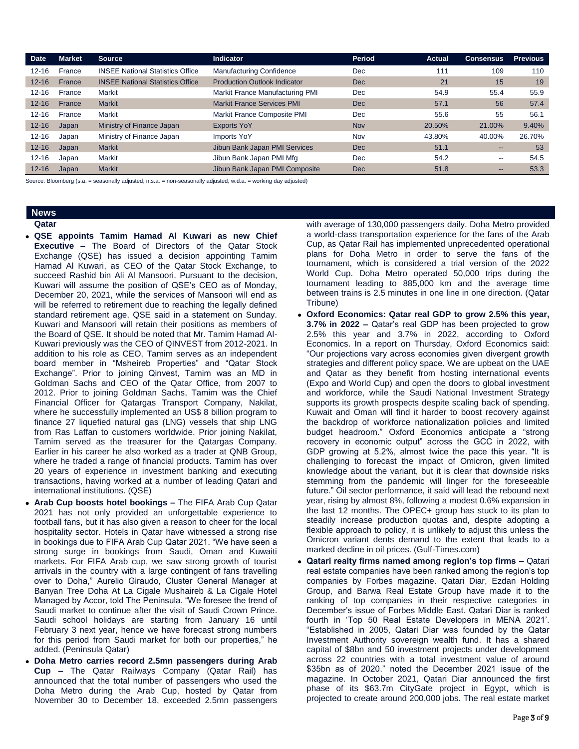| <b>Date</b> | <b>Market</b> | <b>Source</b>                           | <b>Indicator</b>                    | Period     | <b>Actual</b> | <b>Consensus</b> | <b>Previous</b> |
|-------------|---------------|-----------------------------------------|-------------------------------------|------------|---------------|------------------|-----------------|
| $12 - 16$   | France        | <b>INSEE National Statistics Office</b> | <b>Manufacturing Confidence</b>     | <b>Dec</b> | 111           | 109              | 110             |
| $12 - 16$   | France        | <b>INSEE National Statistics Office</b> | <b>Production Outlook Indicator</b> | Dec        | 21            | 15               | 19              |
| $12 - 16$   | France        | Markit                                  | Markit France Manufacturing PMI     | <b>Dec</b> | 54.9          | 55.4             | 55.9            |
| $12 - 16$   | France        | <b>Markit</b>                           | <b>Markit France Services PMI</b>   | Dec        | 57.1          | 56               | 57.4            |
| $12 - 16$   | France        | Markit                                  | Markit France Composite PMI         | <b>Dec</b> | 55.6          | 55               | 56.1            |
| $12 - 16$   | Japan         | Ministry of Finance Japan               | <b>Exports YoY</b>                  | <b>Nov</b> | 20.50%        | 21.00%           | 9.40%           |
| $12 - 16$   | Japan         | Ministry of Finance Japan               | Imports YoY                         | Nov        | 43.80%        | 40.00%           | 26.70%          |
| $12 - 16$   | Japan         | <b>Markit</b>                           | Jibun Bank Japan PMI Services       | Dec        | 51.1          |                  | 53              |
| $12 - 16$   | Japan         | Markit                                  | Jibun Bank Japan PMI Mfg            | <b>Dec</b> | 54.2          | --               | 54.5            |
| $12 - 16$   | Japan         | <b>Markit</b>                           | Jibun Bank Japan PMI Composite      | Dec        | 51.8          | $- -$            | 53.3            |

Source: Bloomberg (s.a. = seasonally adjusted; n.s.a. = non-seasonally adjusted; w.d.a. = working day adjusted)

# **News**

#### **Qatar**

- **QSE appoints Tamim Hamad Al Kuwari as new Chief Executive –** The Board of Directors of the Qatar Stock Exchange (QSE) has issued a decision appointing Tamim Hamad Al Kuwari, as CEO of the Qatar Stock Exchange, to succeed Rashid bin Ali Al Mansoori. Pursuant to the decision, Kuwari will assume the position of QSE's CEO as of Monday, December 20, 2021, while the services of Mansoori will end as will be referred to retirement due to reaching the legally defined standard retirement age, QSE said in a statement on Sunday. Kuwari and Mansoori will retain their positions as members of the Board of QSE. It should be noted that Mr. Tamim Hamad Al-Kuwari previously was the CEO of QINVEST from 2012-2021. In addition to his role as CEO, Tamim serves as an independent board member in "Msheireb Properties" and "Qatar Stock Exchange". Prior to joining Qinvest, Tamim was an MD in Goldman Sachs and CEO of the Qatar Office, from 2007 to 2012. Prior to joining Goldman Sachs, Tamim was the Chief Financial Officer for Qatargas Transport Company, Nakilat, where he successfully implemented an US\$ 8 billion program to finance 27 liquefied natural gas (LNG) vessels that ship LNG from Ras Laffan to customers worldwide. Prior joining Nakilat, Tamim served as the treasurer for the Qatargas Company. Earlier in his career he also worked as a trader at QNB Group, where he traded a range of financial products. Tamim has over 20 years of experience in investment banking and executing transactions, having worked at a number of leading Qatari and international institutions. (QSE)
- **Arab Cup boosts hotel bookings –** The FIFA Arab Cup Qatar 2021 has not only provided an unforgettable experience to football fans, but it has also given a reason to cheer for the local hospitality sector. Hotels in Qatar have witnessed a strong rise in bookings due to FIFA Arab Cup Qatar 2021. "We have seen a strong surge in bookings from Saudi, Oman and Kuwaiti markets. For FIFA Arab cup, we saw strong growth of tourist arrivals in the country with a large contingent of fans travelling over to Doha," Aurelio Giraudo, Cluster General Manager at Banyan Tree Doha At La Cigale Mushaireb & La Cigale Hotel Managed by Accor, told The Peninsula. "We foresee the trend of Saudi market to continue after the visit of Saudi Crown Prince. Saudi school holidays are starting from January 16 until February 3 next year, hence we have forecast strong numbers for this period from Saudi market for both our properties," he added. (Peninsula Qatar)
- **Doha Metro carries record 2.5mn passengers during Arab Cup –** The Qatar Railways Company (Qatar Rail) has announced that the total number of passengers who used the Doha Metro during the Arab Cup, hosted by Qatar from November 30 to December 18, exceeded 2.5mn passengers

with average of 130,000 passengers daily. Doha Metro provided a world-class transportation experience for the fans of the Arab Cup, as Qatar Rail has implemented unprecedented operational plans for Doha Metro in order to serve the fans of the tournament, which is considered a trial version of the 2022 World Cup. Doha Metro operated 50,000 trips during the tournament leading to 885,000 km and the average time between trains is 2.5 minutes in one line in one direction. (Qatar Tribune)

- **Oxford Economics: Qatar real GDP to grow 2.5% this year, 3.7% in 2022 –** Qatar's real GDP has been projected to grow 2.5% this year and 3.7% in 2022, according to Oxford Economics. In a report on Thursday, Oxford Economics said: "Our projections vary across economies given divergent growth strategies and different policy space. We are upbeat on the UAE and Qatar as they benefit from hosting international events (Expo and World Cup) and open the doors to global investment and workforce, while the Saudi National Investment Strategy supports its growth prospects despite scaling back of spending. Kuwait and Oman will find it harder to boost recovery against the backdrop of workforce nationalization policies and limited budget headroom." Oxford Economics anticipate a "strong recovery in economic output" across the GCC in 2022, with GDP growing at 5.2%, almost twice the pace this year. "It is challenging to forecast the impact of Omicron, given limited knowledge about the variant, but it is clear that downside risks stemming from the pandemic will linger for the foreseeable future." Oil sector performance, it said will lead the rebound next year, rising by almost 8%, following a modest 0.6% expansion in the last 12 months. The OPEC+ group has stuck to its plan to steadily increase production quotas and, despite adopting a flexible approach to policy, it is unlikely to adjust this unless the Omicron variant dents demand to the extent that leads to a marked decline in oil prices. (Gulf-Times.com)
- **Qatari realty firms named among region's top firms –** Qatari real estate companies have been ranked among the region's top companies by Forbes magazine. Qatari Diar, Ezdan Holding Group, and Barwa Real Estate Group have made it to the ranking of top companies in their respective categories in December's issue of Forbes Middle East. Qatari Diar is ranked fourth in 'Top 50 Real Estate Developers in MENA 2021'. "Established in 2005, Qatari Diar was founded by the Qatar Investment Authority sovereign wealth fund. It has a shared capital of \$8bn and 50 investment projects under development across 22 countries with a total investment value of around \$35bn as of 2020." noted the December 2021 issue of the magazine. In October 2021, Qatari Diar announced the first phase of its \$63.7m CityGate project in Egypt, which is projected to create around 200,000 jobs. The real estate market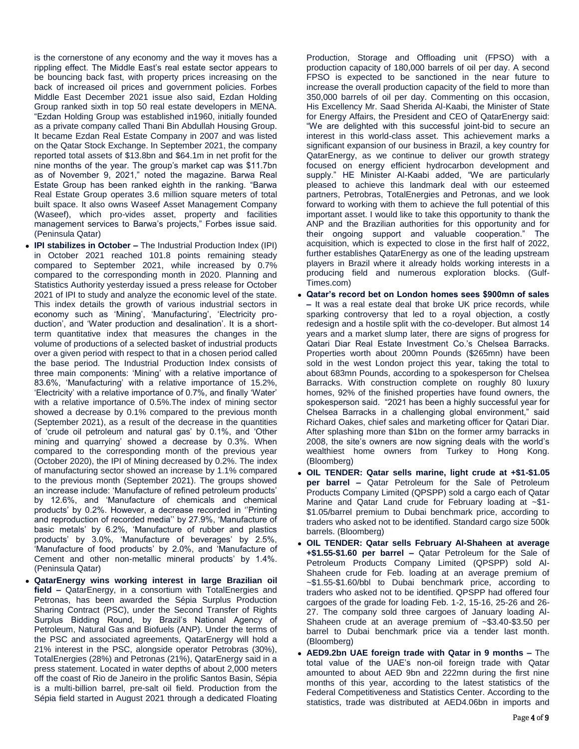is the cornerstone of any economy and the way it moves has a rippling effect. The Middle East's real estate sector appears to be bouncing back fast, with property prices increasing on the back of increased oil prices and government policies. Forbes Middle East December 2021 issue also said, Ezdan Holding Group ranked sixth in top 50 real estate developers in MENA. "Ezdan Holding Group was established in1960, initially founded as a private company called Thani Bin Abdullah Housing Group. It became Ezdan Real Estate Company in 2007 and was listed on the Qatar Stock Exchange. In September 2021, the company reported total assets of \$13.8bn and \$64.1m in net profit for the nine months of the year. The group's market cap was \$11.7bn as of November 9, 2021," noted the magazine. Barwa Real Estate Group has been ranked eighth in the ranking. "Barwa Real Estate Group operates 3.6 million square meters of total built space. It also owns Waseef Asset Management Company (Waseef), which pro-vides asset, property and facilities management services to Barwa's projects," Forbes issue said. (Peninsula Qatar)

- **IPI stabilizes in October –** The Industrial Production Index (IPI) in October 2021 reached 101.8 points remaining steady compared to September 2021, while increased by 0.7% compared to the corresponding month in 2020. Planning and Statistics Authority yesterday issued a press release for October 2021 of IPI to study and analyze the economic level of the state. This index details the growth of various industrial sectors in economy such as 'Mining', 'Manufacturing', 'Electricity production', and 'Water production and desalination'. It is a shortterm quantitative index that measures the changes in the volume of productions of a selected basket of industrial products over a given period with respect to that in a chosen period called the base period. The Industrial Production Index consists of three main components: 'Mining' with a relative importance of 83.6%, 'Manufacturing' with a relative importance of 15.2%, 'Electricity' with a relative importance of 0.7%, and finally 'Water' with a relative importance of 0.5%. The index of mining sector showed a decrease by 0.1% compared to the previous month (September 2021), as a result of the decrease in the quantities of 'crude oil petroleum and natural gas' by 0.1%, and 'Other mining and quarrying' showed a decrease by 0.3%. When compared to the corresponding month of the previous year (October 2020), the IPI of Mining decreased by 0.2%. The index of manufacturing sector showed an increase by 1.1% compared to the previous month (September 2021). The groups showed an increase include: 'Manufacture of refined petroleum products' by 12.6%, and 'Manufacture of chemicals and chemical products' by 0.2%. However, a decrease recorded in ''Printing and reproduction of recorded media'' by 27.9%, 'Manufacture of basic metals' by 6.2%, 'Manufacture of rubber and plastics products' by 3.0%, 'Manufacture of beverages' by 2.5%, 'Manufacture of food products' by 2.0%, and 'Manufacture of Cement and other non-metallic mineral products' by 1.4%. (Peninsula Qatar)
- **QatarEnergy wins working interest in large Brazilian oil field –** QatarEnergy, in a consortium with TotalEnergies and Petronas, has been awarded the Sépia Surplus Production Sharing Contract (PSC), under the Second Transfer of Rights Surplus Bidding Round, by Brazil's National Agency of Petroleum, Natural Gas and Biofuels (ANP). Under the terms of the PSC and associated agreements, QatarEnergy will hold a 21% interest in the PSC, alongside operator Petrobras (30%), TotalEnergies (28%) and Petronas (21%), QatarEnergy said in a press statement. Located in water depths of about 2,000 meters off the coast of Rio de Janeiro in the prolific Santos Basin, Sépia is a multi-billion barrel, pre-salt oil field. Production from the Sépia field started in August 2021 through a dedicated Floating

Production, Storage and Offloading unit (FPSO) with a production capacity of 180,000 barrels of oil per day. A second FPSO is expected to be sanctioned in the near future to increase the overall production capacity of the field to more than 350,000 barrels of oil per day. Commenting on this occasion, His Excellency Mr. Saad Sherida Al-Kaabi, the Minister of State for Energy Affairs, the President and CEO of QatarEnergy said: "We are delighted with this successful joint-bid to secure an interest in this world-class asset. This achievement marks a significant expansion of our business in Brazil, a key country for QatarEnergy, as we continue to deliver our growth strategy focused on energy efficient hydrocarbon development and supply." HE Minister Al-Kaabi added, "We are particularly pleased to achieve this landmark deal with our esteemed partners, Petrobras, TotalEnergies and Petronas, and we look forward to working with them to achieve the full potential of this important asset. I would like to take this opportunity to thank the ANP and the Brazilian authorities for this opportunity and for their ongoing support and valuable cooperation." The acquisition, which is expected to close in the first half of 2022, further establishes QatarEnergy as one of the leading upstream players in Brazil where it already holds working interests in a producing field and numerous exploration blocks. (Gulf-Times.com)

- **Qatar's record bet on London homes sees \$900mn of sales –** It was a real estate deal that broke UK price records, while sparking controversy that led to a royal objection, a costly redesign and a hostile split with the co-developer. But almost 14 years and a market slump later, there are signs of progress for Qatari Diar Real Estate Investment Co.'s Chelsea Barracks. Properties worth about 200mn Pounds (\$265mn) have been sold in the west London project this year, taking the total to about 683mn Pounds, according to a spokesperson for Chelsea Barracks. With construction complete on roughly 80 luxury homes, 92% of the finished properties have found owners, the spokesperson said. "2021 has been a highly successful year for Chelsea Barracks in a challenging global environment," said Richard Oakes, chief sales and marketing officer for Qatari Diar. After splashing more than \$1bn on the former army barracks in 2008, the site's owners are now signing deals with the world's wealthiest home owners from Turkey to Hong Kong. (Bloomberg)
- **OIL TENDER: Qatar sells marine, light crude at +\$1-\$1.05 per barrel –** Qatar Petroleum for the Sale of Petroleum Products Company Limited (QPSPP) sold a cargo each of Qatar Marine and Qatar Land crude for February loading at ~\$1-\$1.05/barrel premium to Dubai benchmark price, according to traders who asked not to be identified. Standard cargo size 500k barrels. (Bloomberg)
- **OIL TENDER: Qatar sells February Al-Shaheen at average +\$1.55-\$1.60 per barrel –** Qatar Petroleum for the Sale of Petroleum Products Company Limited (QPSPP) sold Al-Shaheen crude for Feb. loading at an average premium of ~\$1.55-\$1.60/bbl to Dubai benchmark price, according to traders who asked not to be identified. QPSPP had offered four cargoes of the grade for loading Feb. 1-2, 15-16, 25-26 and 26- 27. The company sold three cargoes of January loading Al-Shaheen crude at an average premium of ~\$3.40-\$3.50 per barrel to Dubai benchmark price via a tender last month. (Bloomberg)
- **AED9.2bn UAE foreign trade with Qatar in 9 months –** The total value of the UAE's non-oil foreign trade with Qatar amounted to about AED 9bn and 222mn during the first nine months of this year, according to the latest statistics of the Federal Competitiveness and Statistics Center. According to the statistics, trade was distributed at AED4.06bn in imports and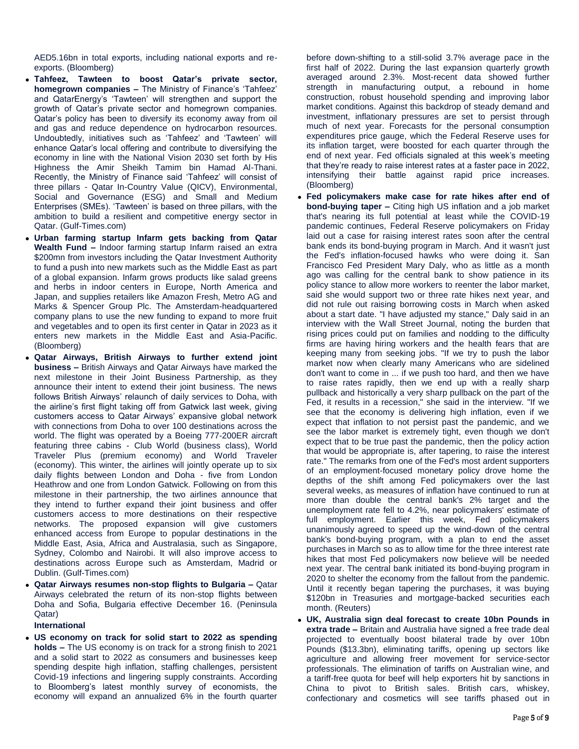AED5.16bn in total exports, including national exports and reexports. (Bloomberg)

- **Tahfeez, Tawteen to boost Qatar's private sector, homegrown companies –** The Ministry of Finance's 'Tahfeez' and QatarEnergy's 'Tawteen' will strengthen and support the growth of Qatar's private sector and homegrown companies. Qatar's policy has been to diversify its economy away from oil and gas and reduce dependence on hydrocarbon resources. Undoubtedly, initiatives such as 'Tahfeez' and 'Tawteen' will enhance Qatar's local offering and contribute to diversifying the economy in line with the National Vision 2030 set forth by His Highness the Amir Sheikh Tamim bin Hamad Al-Thani. Recently, the Ministry of Finance said 'Tahfeez' will consist of three pillars - Qatar In-Country Value (QICV), Environmental, Social and Governance (ESG) and Small and Medium Enterprises (SMEs). 'Tawteen' is based on three pillars, with the ambition to build a resilient and competitive energy sector in Qatar. (Gulf-Times.com)
- **Urban farming startup Infarm gets backing from Qatar Wealth Fund –** Indoor farming startup Infarm raised an extra \$200mn from investors including the Qatar Investment Authority to fund a push into new markets such as the Middle East as part of a global expansion. Infarm grows products like salad greens and herbs in indoor centers in Europe, North America and Japan, and supplies retailers like Amazon Fresh, Metro AG and Marks & Spencer Group Plc. The Amsterdam-headquartered company plans to use the new funding to expand to more fruit and vegetables and to open its first center in Qatar in 2023 as it enters new markets in the Middle East and Asia-Pacific. (Bloomberg)
- **Qatar Airways, British Airways to further extend joint business –** British Airways and Qatar Airways have marked the next milestone in their Joint Business Partnership, as they announce their intent to extend their joint business. The news follows British Airways' relaunch of daily services to Doha, with the airline's first flight taking off from Gatwick last week, giving customers access to Qatar Airways' expansive global network with connections from Doha to over 100 destinations across the world. The flight was operated by a Boeing 777-200ER aircraft featuring three cabins - Club World (business class), World Traveler Plus (premium economy) and World Traveler (economy). This winter, the airlines will jointly operate up to six daily flights between London and Doha - five from London Heathrow and one from London Gatwick. Following on from this milestone in their partnership, the two airlines announce that they intend to further expand their joint business and offer customers access to more destinations on their respective networks. The proposed expansion will give customers enhanced access from Europe to popular destinations in the Middle East, Asia, Africa and Australasia, such as Singapore, Sydney, Colombo and Nairobi. It will also improve access to destinations across Europe such as Amsterdam, Madrid or Dublin. (Gulf-Times.com)
- **Qatar Airways resumes non-stop flights to Bulgaria –** Qatar Airways celebrated the return of its non-stop flights between Doha and Sofia, Bulgaria effective December 16. (Peninsula Qatar)

# **International**

 **US economy on track for solid start to 2022 as spending holds –** The US economy is on track for a strong finish to 2021 and a solid start to 2022 as consumers and businesses keep spending despite high inflation, staffing challenges, persistent Covid-19 infections and lingering supply constraints. According to Bloomberg's latest monthly survey of economists, the economy will expand an annualized 6% in the fourth quarter

before down-shifting to a still-solid 3.7% average pace in the first half of 2022. During the last expansion quarterly growth averaged around 2.3%. Most-recent data showed further strength in manufacturing output, a rebound in home construction, robust household spending and improving labor market conditions. Against this backdrop of steady demand and investment, inflationary pressures are set to persist through much of next year. Forecasts for the personal consumption expenditures price gauge, which the Federal Reserve uses for its inflation target, were boosted for each quarter through the end of next year. Fed officials signaled at this week's meeting that they're ready to raise interest rates at a faster pace in 2022, intensifying their battle against rapid price increases. (Bloomberg)

- **Fed policymakers make case for rate hikes after end of bond-buying taper –** Citing high US inflation and a job market that's nearing its full potential at least while the COVID-19 pandemic continues, Federal Reserve policymakers on Friday laid out a case for raising interest rates soon after the central bank ends its bond-buying program in March. And it wasn't just the Fed's inflation-focused hawks who were doing it. San Francisco Fed President Mary Daly, who as little as a month ago was calling for the central bank to show patience in its policy stance to allow more workers to reenter the labor market, said she would support two or three rate hikes next year, and did not rule out raising borrowing costs in March when asked about a start date. "I have adjusted my stance," Daly said in an interview with the Wall Street Journal, noting the burden that rising prices could put on families and nodding to the difficulty firms are having hiring workers and the health fears that are keeping many from seeking jobs. "If we try to push the labor market now when clearly many Americans who are sidelined don't want to come in ... if we push too hard, and then we have to raise rates rapidly, then we end up with a really sharp pullback and historically a very sharp pullback on the part of the Fed, it results in a recession," she said in the interview. "If we see that the economy is delivering high inflation, even if we expect that inflation to not persist past the pandemic, and we see the labor market is extremely tight, even though we don't expect that to be true past the pandemic, then the policy action that would be appropriate is, after tapering, to raise the interest rate." The remarks from one of the Fed's most ardent supporters of an employment-focused monetary policy drove home the depths of the shift among Fed policymakers over the last several weeks, as measures of inflation have continued to run at more than double the central bank's 2% target and the unemployment rate fell to 4.2%, near policymakers' estimate of full employment. Earlier this week, Fed policymakers unanimously agreed to speed up the wind-down of the central bank's bond-buying program, with a plan to end the asset purchases in March so as to allow time for the three interest rate hikes that most Fed policymakers now believe will be needed next year. The central bank initiated its bond-buying program in 2020 to shelter the economy from the fallout from the pandemic. Until it recently began tapering the purchases, it was buying \$120bn in Treasuries and mortgage-backed securities each month. (Reuters)
- **UK, Australia sign deal forecast to create 10bn Pounds in extra trade –** Britain and Australia have signed a free trade deal projected to eventually boost bilateral trade by over 10bn Pounds (\$13.3bn), eliminating tariffs, opening up sectors like agriculture and allowing freer movement for service-sector professionals. The elimination of tariffs on Australian wine, and a tariff-free quota for beef will help exporters hit by sanctions in China to pivot to British sales. British cars, whiskey, confectionary and cosmetics will see tariffs phased out in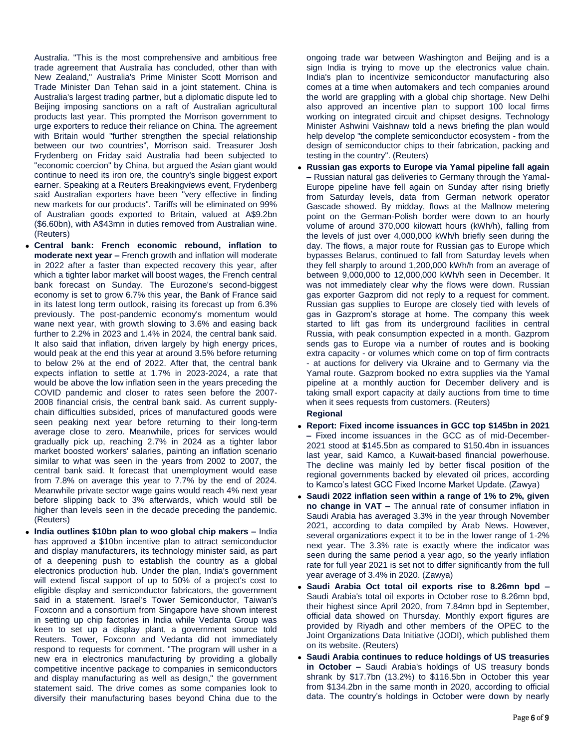Australia. "This is the most comprehensive and ambitious free trade agreement that Australia has concluded, other than with New Zealand," Australia's Prime Minister Scott Morrison and Trade Minister Dan Tehan said in a joint statement. China is Australia's largest trading partner, but a diplomatic dispute led to Beijing imposing sanctions on a raft of Australian agricultural products last year. This prompted the Morrison government to urge exporters to reduce their reliance on China. The agreement with Britain would "further strengthen the special relationship between our two countries", Morrison said. Treasurer Josh Frydenberg on Friday said Australia had been subjected to "economic coercion" by China, but argued the Asian giant would continue to need its iron ore, the country's single biggest export earner. Speaking at a Reuters Breakingviews event, Frydenberg said Australian exporters have been "very effective in finding new markets for our products". Tariffs will be eliminated on 99% of Australian goods exported to Britain, valued at A\$9.2bn (\$6.60bn), with A\$43mn in duties removed from Australian wine. (Reuters)

- **Central bank: French economic rebound, inflation to moderate next year –** French growth and inflation will moderate in 2022 after a faster than expected recovery this year, after which a tighter labor market will boost wages, the French central bank forecast on Sunday. The Eurozone's second-biggest economy is set to grow 6.7% this year, the Bank of France said in its latest long term outlook, raising its forecast up from 6.3% previously. The post-pandemic economy's momentum would wane next year, with growth slowing to 3.6% and easing back further to 2.2% in 2023 and 1.4% in 2024, the central bank said. It also said that inflation, driven largely by high energy prices, would peak at the end this year at around 3.5% before returning to below 2% at the end of 2022. After that, the central bank expects inflation to settle at 1.7% in 2023-2024, a rate that would be above the low inflation seen in the years preceding the COVID pandemic and closer to rates seen before the 2007- 2008 financial crisis, the central bank said. As current supplychain difficulties subsided, prices of manufactured goods were seen peaking next year before returning to their long-term average close to zero. Meanwhile, prices for services would gradually pick up, reaching 2.7% in 2024 as a tighter labor market boosted workers' salaries, painting an inflation scenario similar to what was seen in the years from 2002 to 2007, the central bank said. It forecast that unemployment would ease from 7.8% on average this year to 7.7% by the end of 2024. Meanwhile private sector wage gains would reach 4% next year before slipping back to 3% afterwards, which would still be higher than levels seen in the decade preceding the pandemic. (Reuters)
- **India outlines \$10bn plan to woo global chip makers –** India has approved a \$10bn incentive plan to attract semiconductor and display manufacturers, its technology minister said, as part of a deepening push to establish the country as a global electronics production hub. Under the plan, India's government will extend fiscal support of up to 50% of a project's cost to eligible display and semiconductor fabricators, the government said in a statement. Israel's Tower Semiconductor, Taiwan's Foxconn and a consortium from Singapore have shown interest in setting up chip factories in India while Vedanta Group was keen to set up a display plant, a government source told Reuters. Tower, Foxconn and Vedanta did not immediately respond to requests for comment. "The program will usher in a new era in electronics manufacturing by providing a globally competitive incentive package to companies in semiconductors and display manufacturing as well as design," the government statement said. The drive comes as some companies look to diversify their manufacturing bases beyond China due to the

ongoing trade war between Washington and Beijing and is a sign India is trying to move up the electronics value chain. India's plan to incentivize semiconductor manufacturing also comes at a time when automakers and tech companies around the world are grappling with a global chip shortage. New Delhi also approved an incentive plan to support 100 local firms working on integrated circuit and chipset designs. Technology Minister Ashwini Vaishnaw told a news briefing the plan would help develop "the complete semiconductor ecosystem - from the design of semiconductor chips to their fabrication, packing and testing in the country". (Reuters)

 **Russian gas exports to Europe via Yamal pipeline fall again –** Russian natural gas deliveries to Germany through the Yamal-Europe pipeline have fell again on Sunday after rising briefly from Saturday levels, data from German network operator Gascade showed. By midday, flows at the Mallnow metering point on the German-Polish border were down to an hourly volume of around 370,000 kilowatt hours (kWh/h), falling from the levels of just over 4,000,000 kWh/h briefly seen during the day. The flows, a major route for Russian gas to Europe which bypasses Belarus, continued to fall from Saturday levels when they fell sharply to around 1,200,000 kWh/h from an average of between 9,000,000 to 12,000,000 kWh/h seen in December. It was not immediately clear why the flows were down. Russian gas exporter Gazprom did not reply to a request for comment. Russian gas supplies to Europe are closely tied with levels of gas in Gazprom's storage at home. The company this week started to lift gas from its underground facilities in central Russia, with peak consumption expected in a month. Gazprom sends gas to Europe via a number of routes and is booking extra capacity - or volumes which come on top of firm contracts - at auctions for delivery via Ukraine and to Germany via the Yamal route. Gazprom booked no extra supplies via the Yamal pipeline at a monthly auction for December delivery and is taking small export capacity at daily auctions from time to time when it sees requests from customers. (Reuters)

# **Regional**

- **Report: Fixed income issuances in GCC top \$145bn in 2021 –** Fixed income issuances in the GCC as of mid-December-2021 stood at \$145.5bn as compared to \$150.4bn in issuances last year, said Kamco, a Kuwait-based financial powerhouse. The decline was mainly led by better fiscal position of the regional governments backed by elevated oil prices, according to Kamco's latest GCC Fixed Income Market Update. (Zawya)
- **Saudi 2022 inflation seen within a range of 1% to 2%, given no change in VAT –** The annual rate of consumer inflation in Saudi Arabia has averaged 3.3% in the year through November 2021, according to data compiled by Arab News. However, several organizations expect it to be in the lower range of 1-2% next year. The 3.3% rate is exactly where the indicator was seen during the same period a year ago, so the yearly inflation rate for full year 2021 is set not to differ significantly from the full year average of 3.4% in 2020. (Zawya)
- **Saudi Arabia Oct total oil exports rise to 8.26mn bpd –** Saudi Arabia's total oil exports in October rose to 8.26mn bpd, their highest since April 2020, from 7.84mn bpd in September, official data showed on Thursday. Monthly export figures are provided by Riyadh and other members of the OPEC to the Joint Organizations Data Initiative (JODI), which published them on its website. (Reuters)
- **Saudi Arabia continues to reduce holdings of US treasuries in October –** Saudi Arabia's holdings of US treasury bonds shrank by \$17.7bn (13.2%) to \$116.5bn in October this year from \$134.2bn in the same month in 2020, according to official data. The country's holdings in October were down by nearly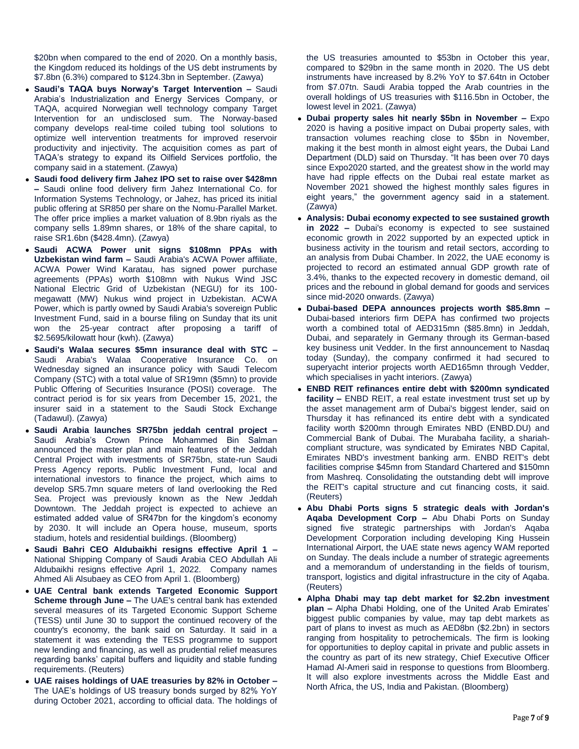\$20bn when compared to the end of 2020. On a monthly basis, the Kingdom reduced its holdings of the US debt instruments by \$7.8bn (6.3%) compared to \$124.3bn in September. (Zawya)

- **Saudi's TAQA buys Norway's Target Intervention –** Saudi Arabia's Industrialization and Energy Services Company, or TAQA, acquired Norwegian well technology company Target Intervention for an undisclosed sum. The Norway-based company develops real-time coiled tubing tool solutions to optimize well intervention treatments for improved reservoir productivity and injectivity. The acquisition comes as part of TAQA's strategy to expand its Oilfield Services portfolio, the company said in a statement. (Zawya)
- **Saudi food delivery firm Jahez IPO set to raise over \$428mn –** Saudi online food delivery firm Jahez International Co. for Information Systems Technology, or Jahez, has priced its initial public offering at SR850 per share on the Nomu-Parallel Market. The offer price implies a market valuation of 8.9bn riyals as the company sells 1.89mn shares, or 18% of the share capital, to raise SR1.6bn (\$428.4mn). (Zawya)
- **Saudi ACWA Power unit signs \$108mn PPAs with Uzbekistan wind farm –** Saudi Arabia's ACWA Power affiliate, ACWA Power Wind Karatau, has signed power purchase agreements (PPAs) worth \$108mn with Nukus Wind JSC National Electric Grid of Uzbekistan (NEGU) for its 100 megawatt (MW) Nukus wind project in Uzbekistan. ACWA Power, which is partly owned by Saudi Arabia's sovereign Public Investment Fund, said in a bourse filing on Sunday that its unit won the 25-year contract after proposing a tariff of \$2.5695/kilowatt hour (kwh). (Zawya)
- **Saudi's Walaa secures \$5mn insurance deal with STC –** Saudi Arabia's Walaa Cooperative Insurance Co. on Wednesday signed an insurance policy with Saudi Telecom Company (STC) with a total value of SR19mn (\$5mn) to provide Public Offering of Securities Insurance (POSI) coverage. The contract period is for six years from December 15, 2021, the insurer said in a statement to the Saudi Stock Exchange (Tadawul). (Zawya)
- **Saudi Arabia launches SR75bn jeddah central project –** Saudi Arabia's Crown Prince Mohammed Bin Salman announced the master plan and main features of the Jeddah Central Project with investments of SR75bn, state-run Saudi Press Agency reports. Public Investment Fund, local and international investors to finance the project, which aims to develop SR5.7mn square meters of land overlooking the Red Sea. Project was previously known as the New Jeddah Downtown. The Jeddah project is expected to achieve an estimated added value of SR47bn for the kingdom's economy by 2030. It will include an Opera house, museum, sports stadium, hotels and residential buildings. (Bloomberg)
- **Saudi Bahri CEO Aldubaikhi resigns effective April 1 –** National Shipping Company of Saudi Arabia CEO Abdullah Ali Aldubaikhi resigns effective April 1, 2022. Company names Ahmed Ali Alsubaey as CEO from April 1. (Bloomberg)
- **UAE Central bank extends Targeted Economic Support Scheme through June –** The UAE's central bank has extended several measures of its Targeted Economic Support Scheme (TESS) until June 30 to support the continued recovery of the country's economy, the bank said on Saturday. It said in a statement it was extending the TESS programme to support new lending and financing, as well as prudential relief measures regarding banks' capital buffers and liquidity and stable funding requirements. (Reuters)
- **UAE raises holdings of UAE treasuries by 82% in October –** The UAE's holdings of US treasury bonds surged by 82% YoY during October 2021, according to official data. The holdings of

the US treasuries amounted to \$53bn in October this year, compared to \$29bn in the same month in 2020. The US debt instruments have increased by 8.2% YoY to \$7.64tn in October from \$7.07tn. Saudi Arabia topped the Arab countries in the overall holdings of US treasuries with \$116.5bn in October, the lowest level in 2021. (Zawya)

- **Dubai property sales hit nearly \$5bn in November –** Expo 2020 is having a positive impact on Dubai property sales, with transaction volumes reaching close to \$5bn in November, making it the best month in almost eight years, the Dubai Land Department (DLD) said on Thursday. "It has been over 70 days since Expo2020 started, and the greatest show in the world may have had ripple effects on the Dubai real estate market as November 2021 showed the highest monthly sales figures in eight years," the government agency said in a statement. (Zawya)
- **Analysis: Dubai economy expected to see sustained growth in 2022 –** Dubai's economy is expected to see sustained economic growth in 2022 supported by an expected uptick in business activity in the tourism and retail sectors, according to an analysis from Dubai Chamber. In 2022, the UAE economy is projected to record an estimated annual GDP growth rate of 3.4%, thanks to the expected recovery in domestic demand, oil prices and the rebound in global demand for goods and services since mid-2020 onwards. (Zawya)
- **Dubai-based DEPA announces projects worth \$85.8mn –** Dubai-based interiors firm DEPA has confirmed two projects worth a combined total of AED315mn (\$85.8mn) in Jeddah, Dubai, and separately in Germany through its German-based key business unit Vedder. In the first announcement to Nasdaq today (Sunday), the company confirmed it had secured to superyacht interior projects worth AED165mn through Vedder, which specialises in yacht interiors. (Zawya)
- **ENBD REIT refinances entire debt with \$200mn syndicated facility –** ENBD REIT, a real estate investment trust set up by the asset management arm of Dubai's biggest lender, said on Thursday it has refinanced its entire debt with a syndicated facility worth \$200mn through Emirates NBD (ENBD.DU) and Commercial Bank of Dubai. The Murabaha facility, a shariahcompliant structure, was syndicated by Emirates NBD Capital, Emirates NBD's investment banking arm. ENBD REIT's debt facilities comprise \$45mn from Standard Chartered and \$150mn from Mashreq. Consolidating the outstanding debt will improve the REIT's capital structure and cut financing costs, it said. (Reuters)
- **Abu Dhabi Ports signs 5 strategic deals with Jordan's Aqaba Development Corp –** Abu Dhabi Ports on Sunday signed five strategic partnerships with Jordan's Aqaba Development Corporation including developing King Hussein International Airport, the UAE state news agency WAM reported on Sunday. The deals include a number of strategic agreements and a memorandum of understanding in the fields of tourism, transport, logistics and digital infrastructure in the city of Aqaba. (Reuters)
- **Alpha Dhabi may tap debt market for \$2.2bn investment plan –** Alpha Dhabi Holding, one of the United Arab Emirates' biggest public companies by value, may tap debt markets as part of plans to invest as much as AED8bn (\$2.2bn) in sectors ranging from hospitality to petrochemicals. The firm is looking for opportunities to deploy capital in private and public assets in the country as part of its new strategy, Chief Executive Officer Hamad Al-Ameri said in response to questions from Bloomberg. It will also explore investments across the Middle East and North Africa, the US, India and Pakistan. (Bloomberg)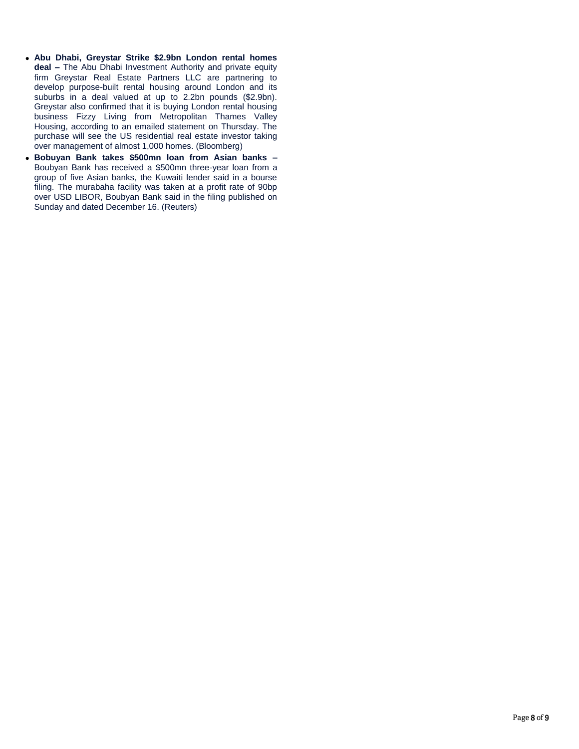- **Abu Dhabi, Greystar Strike \$2.9bn London rental homes deal –** The Abu Dhabi Investment Authority and private equity firm Greystar Real Estate Partners LLC are partnering to develop purpose-built rental housing around London and its suburbs in a deal valued at up to 2.2bn pounds (\$2.9bn). Greystar also confirmed that it is buying London rental housing business Fizzy Living from Metropolitan Thames Valley Housing, according to an emailed statement on Thursday. The purchase will see the US residential real estate investor taking over management of almost 1,000 homes. (Bloomberg)
- **Bobuyan Bank takes \$500mn loan from Asian banks –** Boubyan Bank has received a \$500mn three-year loan from a group of five Asian banks, the Kuwaiti lender said in a bourse filing. The murabaha facility was taken at a profit rate of 90bp over USD LIBOR, Boubyan Bank said in the filing published on Sunday and dated December 16. (Reuters)